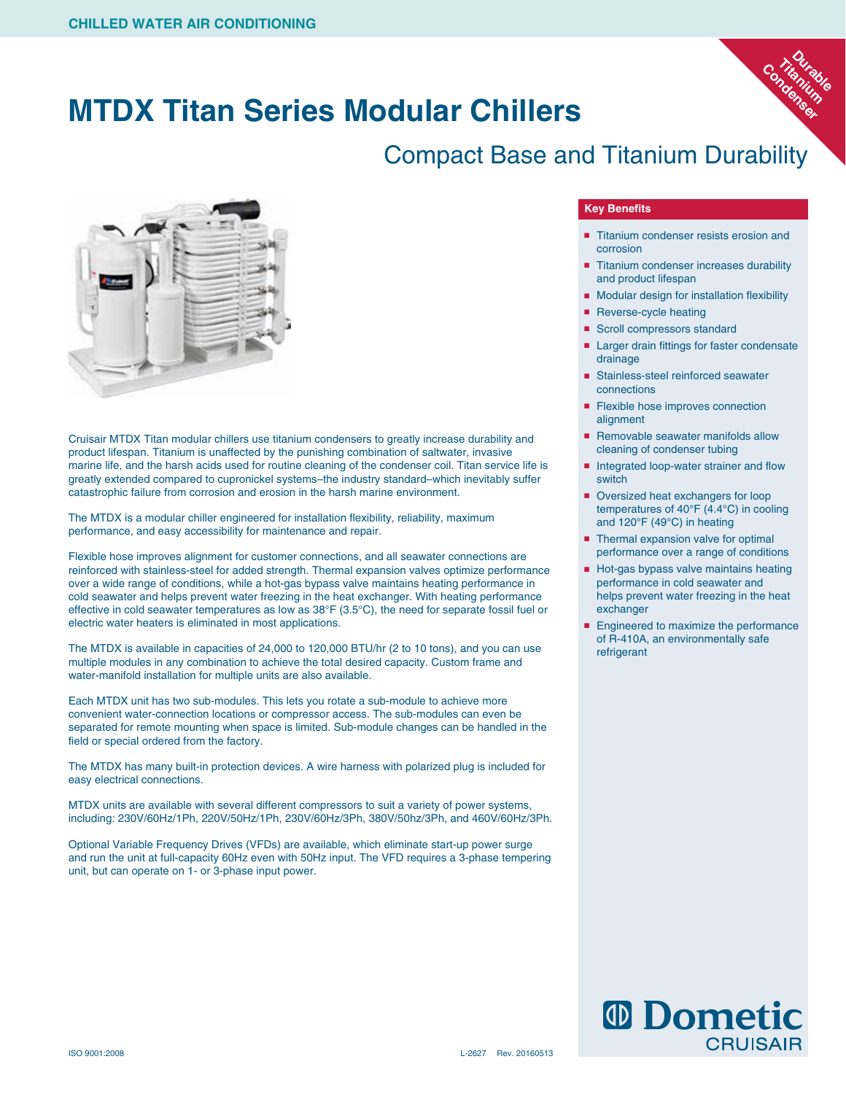# **MTDX Titan Series Modular Chillers**

## Compact Base and Titanium Durability



Cruisair MTDX Titan modular chillers use titanium condensers to greatly increase durability and product lifespan. Titanium is unaffected by the punishing combination of saltwater, invasive marine life, and the harsh acids used for routine cleaning of the condenser coil. Titan service life is greatly extended compared to cupronickel systems–the industry standard–which inevitably suffer catastrophic failure from corrosion and erosion in the harsh marine environment.

The MTDX is a modular chiller engineered for installation flexibility, reliability, maximum performance, and easy accessibility for maintenance and repair.

Flexible hose improves alignment for customer connections, and all seawater connections are reinforced with stainless-steel for added strength. Thermal expansion valves optimize performance over a wide range of conditions, while a hot-gas bypass valve maintains heating performance in cold seawater and helps prevent water freezing in the heat exchanger. With heating performance effective in cold seawater temperatures as low as 38°F (3.5°C), the need for separate fossil fuel or electric water heaters is eliminated in most applications.

The MTDX is available in capacities of 24,000 to 120,000 BTU/hr (2 to 10 tons), and you can use multiple modules in any combination to achieve the total desired capacity. Custom frame and water-manifold installation for multiple units are also available.

Each MTDX unit has two sub-modules. This lets you rotate a sub-module to achieve more convenient water-connection locations or compressor access. The sub-modules can even be separated for remote mounting when space is limited. Sub-module changes can be handled in the field or special ordered from the factory.

The MTDX has many built-in protection devices. A wire harness with polarized plug is included for easy electrical connections.

MTDX units are available with several different compressors to suit a variety of power systems, including: 230V/60Hz/1Ph, 220V/50Hz/1Ph, 230V/60Hz/3Ph, 380V/50hz/3Ph, and 460V/60Hz/3Ph.

Optional Variable Frequency Drives (VFDs) are available, which eliminate start-up power surge and run the unit at full-capacity 60Hz even with 50Hz input. The VFD requires a 3-phase tempering unit, but can operate on 1- or 3-phase input power.

### **Key Benefits**

■ Titanium condenser resists erosion and corrosion

**Durable**<br>anitable **Titanium**  Condenium

- Titanium condenser increases durability and product lifespan
- Modular design for installation flexibility
- Reverse-cycle heating
- Scroll compressors standard
- Larger drain fittings for faster condensate drainage
- Stainless-steel reinforced seawater connections
- Flexible hose improves connection alignment
- Removable seawater manifolds allow cleaning of condenser tubing
- Integrated loop-water strainer and flow switch
- Oversized heat exchangers for loop temperatures of 40°F (4.4°C) in cooling and 120°F (49°C) in heating
- Thermal expansion valve for optimal performance over a range of conditions
- Hot-gas bypass valve maintains heating performance in cold seawater and helps prevent water freezing in the heat exchanger
- Engineered to maximize the performance of R-410A, an environmentally safe refrigerant